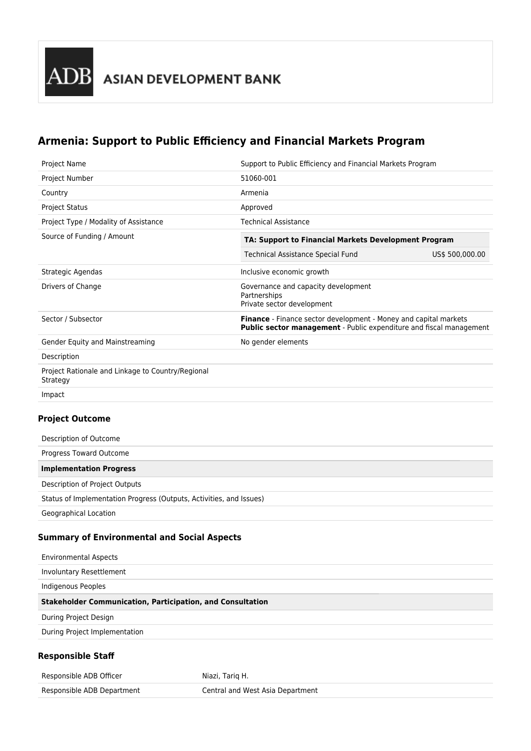## **Armenia: Support to Public Efficiency and Financial Markets Program**

| Project Name                                                  | Support to Public Efficiency and Financial Markets Program                                                                                            |                 |
|---------------------------------------------------------------|-------------------------------------------------------------------------------------------------------------------------------------------------------|-----------------|
| Project Number                                                | 51060-001                                                                                                                                             |                 |
| Country                                                       | Armenia                                                                                                                                               |                 |
| <b>Project Status</b>                                         | Approved                                                                                                                                              |                 |
| Project Type / Modality of Assistance                         | <b>Technical Assistance</b>                                                                                                                           |                 |
| Source of Funding / Amount                                    | TA: Support to Financial Markets Development Program                                                                                                  |                 |
|                                                               | <b>Technical Assistance Special Fund</b>                                                                                                              | US\$ 500,000.00 |
| Strategic Agendas                                             | Inclusive economic growth                                                                                                                             |                 |
| Drivers of Change                                             | Governance and capacity development<br>Partnerships<br>Private sector development                                                                     |                 |
| Sector / Subsector                                            | <b>Finance</b> - Finance sector development - Money and capital markets<br><b>Public sector management</b> - Public expenditure and fiscal management |                 |
| Gender Equity and Mainstreaming                               | No gender elements                                                                                                                                    |                 |
| Description                                                   |                                                                                                                                                       |                 |
| Project Rationale and Linkage to Country/Regional<br>Strategy |                                                                                                                                                       |                 |
| Impact                                                        |                                                                                                                                                       |                 |

## **Project Outcome**

| Description of Outcome                                              |
|---------------------------------------------------------------------|
| Progress Toward Outcome                                             |
| <b>Implementation Progress</b>                                      |
| Description of Project Outputs                                      |
| Status of Implementation Progress (Outputs, Activities, and Issues) |
| <b>Geographical Location</b>                                        |

## **Summary of Environmental and Social Aspects**

| <b>Environmental Aspects</b>                                      |
|-------------------------------------------------------------------|
| Involuntary Resettlement                                          |
| Indigenous Peoples                                                |
| <b>Stakeholder Communication, Participation, and Consultation</b> |
| During Project Design                                             |
| During Project Implementation                                     |
| <b>Responsible Staff</b>                                          |

| Responsible ADB Officer    | Niazi, Tariq H.                  |
|----------------------------|----------------------------------|
| Responsible ADB Department | Central and West Asia Department |